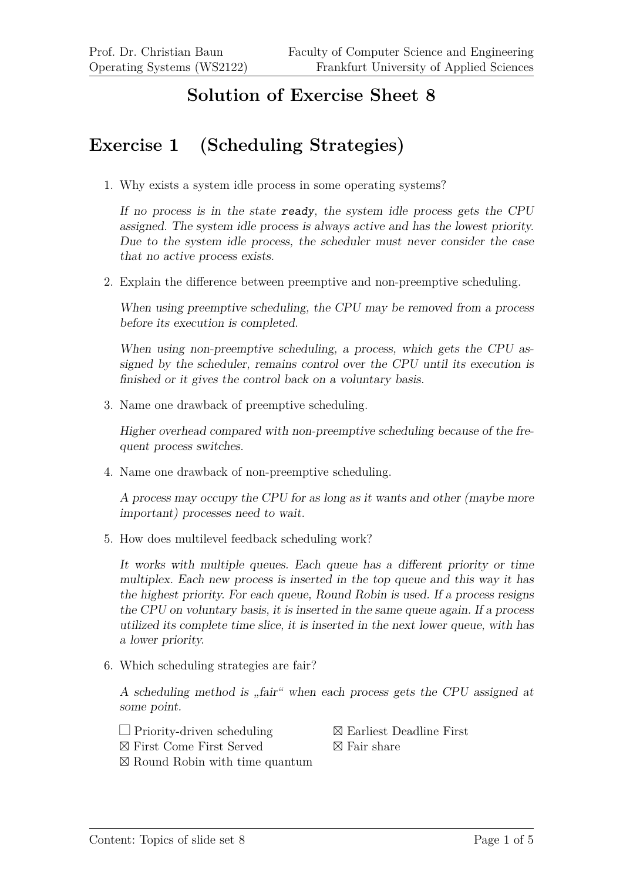## **Solution of Exercise Sheet 8**

## **Exercise 1 (Scheduling Strategies)**

1. Why exists a system idle process in some operating systems?

If no process is in the state ready, the system idle process gets the CPU assigned. The system idle process is always active and has the lowest priority. Due to the system idle process, the scheduler must never consider the case that no active process exists.

2. Explain the difference between preemptive and non-preemptive scheduling.

When using preemptive scheduling, the CPU may be removed from a process before its execution is completed.

When using non-preemptive scheduling, a process, which gets the CPU assigned by the scheduler, remains control over the CPU until its execution is finished or it gives the control back on a voluntary basis.

3. Name one drawback of preemptive scheduling.

Higher overhead compared with non-preemptive scheduling because of the frequent process switches.

4. Name one drawback of non-preemptive scheduling.

A process may occupy the CPU for as long as it wants and other (maybe more important) processes need to wait.

5. How does multilevel feedback scheduling work?

It works with multiple queues. Each queue has a different priority or time multiplex. Each new process is inserted in the top queue and this way it has the highest priority. For each queue, Round Robin is used. If a process resigns the CPU on voluntary basis, it is inserted in the same queue again. If a process utilized its complete time slice, it is inserted in the next lower queue, with has a lower priority.

6. Which scheduling strategies are fair?

A scheduling method is "fair" when each process gets the CPU assigned at some point.

- $\Box$  Priority-driven scheduling
- First Come First Served

⊠ Round Robin with time quantum

- $\boxtimes$  Earliest Deadline First
- $\boxtimes$  Fair share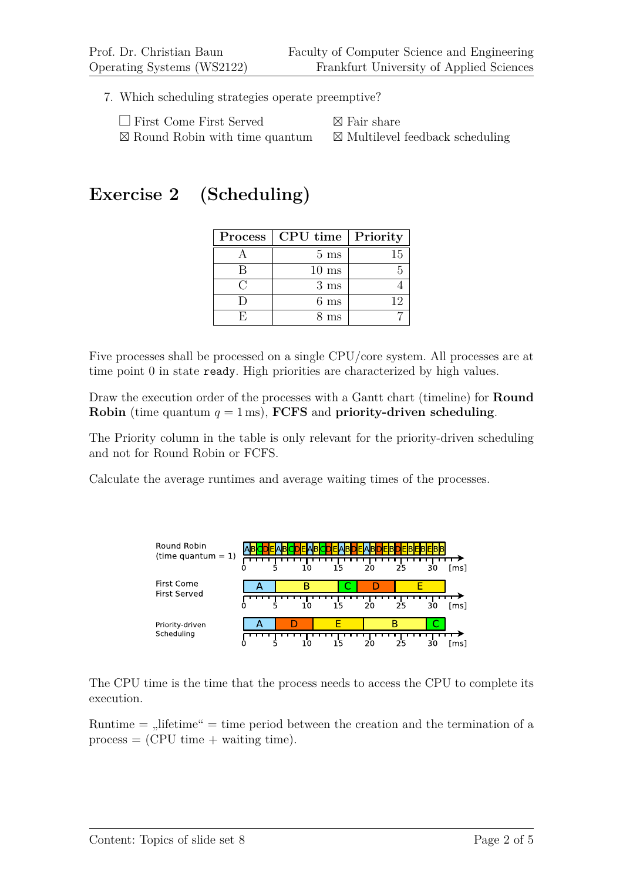7. Which scheduling strategies operate preemptive?

| $\Box$ First Come First Served            | $\boxtimes$ Fair share                     |
|-------------------------------------------|--------------------------------------------|
| $\boxtimes$ Round Robin with time quantum | $\boxtimes$ Multilevel feedback scheduling |

## **Exercise 2 (Scheduling)**

| Process | <b>CPU</b> time   Priority |    |  |  |
|---------|----------------------------|----|--|--|
|         | $5 \text{ ms}$             | 15 |  |  |
|         | $10 \text{ ms}$            |    |  |  |
|         | $3 \text{ ms}$             |    |  |  |
|         | $6 \text{ ms}$             | 19 |  |  |
|         | 3 ms                       |    |  |  |

Five processes shall be processed on a single CPU/core system. All processes are at time point 0 in state ready. High priorities are characterized by high values.

Draw the execution order of the processes with a Gantt chart (timeline) for **Round Robin** (time quantum  $q = 1$  ms), **FCFS** and **priority-driven scheduling**.

The Priority column in the table is only relevant for the priority-driven scheduling and not for Round Robin or FCFS.

Calculate the average runtimes and average waiting times of the processes.



The CPU time is the time that the process needs to access the CPU to complete its execution.

Runtime  $=$   $\mu$ lifetime"  $=$  time period between the creation and the termination of a  $process = (CPU time + waiting time).$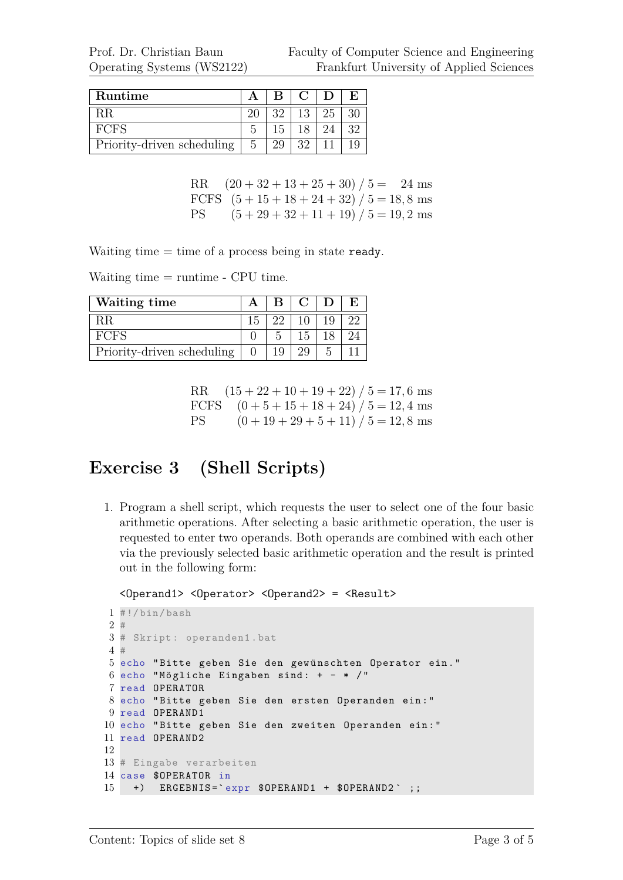| Runtime                    |   |    | $\lfloor C \rfloor$ D |    |  |
|----------------------------|---|----|-----------------------|----|--|
| R.R                        |   | 39 | $13-1$                | 25 |  |
| FCFS                       |   |    |                       |    |  |
| Priority-driven scheduling | 5 |    | 39.                   |    |  |

RR  $(20 + 32 + 13 + 25 + 30) / 5 = 24$  ms FCFS  $(5 + 15 + 18 + 24 + 32) / 5 = 18,8$  ms PS  $(5 + 29 + 32 + 11 + 19) / 5 = 19, 2 \text{ ms}$ 

Waiting time  $=$  time of a process being in state ready.

Waiting time = runtime - CPU time.

| Waiting time               |  | B C D |    |  |
|----------------------------|--|-------|----|--|
| -RR                        |  | 10.   | 19 |  |
| <b>FCFS</b>                |  | 15    |    |  |
| Priority-driven scheduling |  |       |    |  |

RR  $(15 + 22 + 10 + 19 + 22) / 5 = 17, 6$  ms FCFS  $(0 + 5 + 15 + 18 + 24) / 5 = 12, 4$  ms PS  $(0 + 19 + 29 + 5 + 11) / 5 = 12,8$  ms

## **Exercise 3 (Shell Scripts)**

1. Program a shell script, which requests the user to select one of the four basic arithmetic operations. After selecting a basic arithmetic operation, the user is requested to enter two operands. Both operands are combined with each other via the previously selected basic arithmetic operation and the result is printed out in the following form:

```
<Operand1> <Operator> <Operand2> = <Result>
```

```
1 #!/bin/bash
2 #
3 # Skript : operanden1 .bat
4 #
5 echo "Bitte geben Sie den gewünschten Operator ein."
6 echo "Mögliche Eingaben sind: + - * /"
7 read OPERATOR
8 echo " Bitte geben Sie den ersten Operanden ein : "
9 read OPERAND1
10 echo " Bitte geben Sie den zweiten Operanden ein : "
11 read OPERAND2
12
13 # Eingabe verarbeiten
14 case $OPERATOR in
15 +) ERGEBNIS='expr $OPERAND1 + $OPERAND2';;
```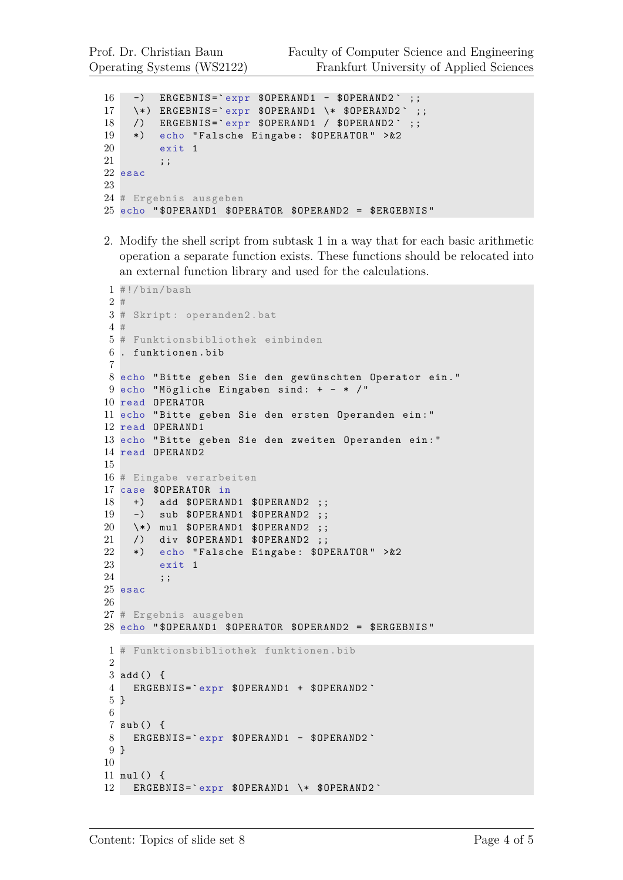```
16 -) ERGEBNIS='expr $0PERAND1 - $0PERAND2' ;;
17 \times) ERGEBNIS='expr $OPERAND1 \* $OPERAND2';;
18 /) ERGEBNIS='expr $OPERAND1 / $OPERAND2';;
19 *) echo "Falsche Eingabe: $OPERATOR" > &2
20 exit 1
21 ;;
22 esac
23
24 # Ergebnis ausgeben
25 echo " $OPERAND1 $OPERATOR $OPERAND2 = $ERGEBNIS "
```
2. Modify the shell script from subtask 1 in a way that for each basic arithmetic operation a separate function exists. These functions should be relocated into an external function library and used for the calculations.

```
1 #!/ bin/ bash
2 #
3 # Skript : operanden2 .bat
4 #
5 # Funktionsbibliothek einbinden
6 . funktionen . bib
7
8 echo "Bitte geben Sie den gewünschten Operator ein."
9 echo "Mögliche Eingaben sind: + - * /"
10 read OPERATOR
11 echo " Bitte geben Sie den ersten Operanden ein : "
12 read OPERAND1
13 echo " Bitte geben Sie den zweiten Operanden ein : "
14 read OPERAND2
15
16 # Eingabe verarbeiten
17 case $OPERATOR in
18 +) add $OPERAND1 $OPERAND2 ;;
19 -) sub $OPERAND1 $OPERAND2 ;;
20 \*) mul $OPERAND1 $OPERAND2 ;;
21 /) div $OPERAND1 $OPERAND2 ;;
22 *) echo "Falsche Eingabe: $OPERATOR" > & 2
23 exit 1
24 ;;
25 esac
26
27 # Ergebnis ausgeben
28 echo " $OPERAND1 $OPERATOR $OPERAND2 = $ERGEBNIS "
1 # Funktionsbibliothek funktionen . bib
2
3 add () {
4 ERGEBNIS =` expr $OPERAND1 + $OPERAND2 `
5 }
6
7 sub () {
8 ERGEBNIS='expr $OPERAND1 - $OPERAND2
9 }
10
11 mul () {
12 ERGEBNIS='expr $OPERAND1 \* $OPERAND2
```